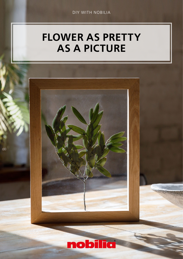# FLOWER AS PRETTY AS A PICTURE

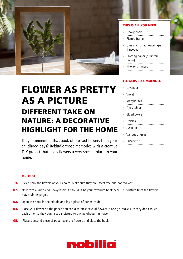

## **FLOWER AS PRETTY AS A PICTURE DIFFERENT TAKE ON NATURE: A DECORATIVE HIGHLIGHT FOR THE HOME**

Do you remember that book of pressed flowers from your childhood days? Rekindle those memories with a creative DIY project that gives flowers a very special place in your home.

### THIS IS ALL YOU NEED

|               | » Heavy book                             |
|---------------|------------------------------------------|
| $\mathcal{V}$ | Picture frame                            |
| $\mathcal{V}$ | Glue stick or adhesive tape<br>if needed |
| <b>))</b>     | Blotting paper (or normal<br>paper)      |
|               | » Flowers / leaves                       |

### FLOWERS RECOMMENDED:

| » Lavender        |
|-------------------|
| » Violet          |
| » Marguerites     |
| » Gypsophila      |
| » Elderflowers    |
| » Daisies         |
| » Jasmine         |
| » Various grasses |
| » Eucalyptus      |

#### **METHOD**

- **01.** Pick or buy the flowers of your choice. Make sure they are insect-free and not too wet.
- **02.** Now take a large and heavy book. It shouldn't be your favourite book because moisture from the flowers may stain its pages.
- **03.** Open the book in the middle and lay a piece of paper inside.
- **04.** Place your flower on the paper. You can also press several flowers in one go. Make sure they don't touch each other so they don't seep moisture to any neighbouring flower.
- **05.** Place a second piece of paper over the flowers and close the book.